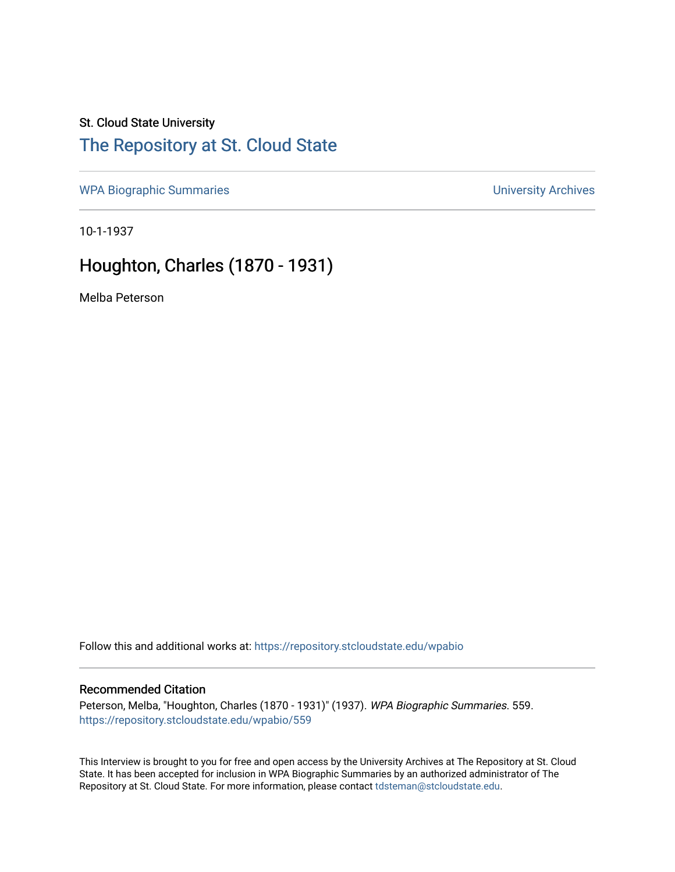## St. Cloud State University

# [The Repository at St. Cloud State](https://repository.stcloudstate.edu/)

[WPA Biographic Summaries](https://repository.stcloudstate.edu/wpabio) **WPA Biographic Summaries University Archives** 

10-1-1937

# Houghton, Charles (1870 - 1931)

Melba Peterson

Follow this and additional works at: [https://repository.stcloudstate.edu/wpabio](https://repository.stcloudstate.edu/wpabio?utm_source=repository.stcloudstate.edu%2Fwpabio%2F559&utm_medium=PDF&utm_campaign=PDFCoverPages) 

#### Recommended Citation

Peterson, Melba, "Houghton, Charles (1870 - 1931)" (1937). WPA Biographic Summaries. 559. [https://repository.stcloudstate.edu/wpabio/559](https://repository.stcloudstate.edu/wpabio/559?utm_source=repository.stcloudstate.edu%2Fwpabio%2F559&utm_medium=PDF&utm_campaign=PDFCoverPages) 

This Interview is brought to you for free and open access by the University Archives at The Repository at St. Cloud State. It has been accepted for inclusion in WPA Biographic Summaries by an authorized administrator of The Repository at St. Cloud State. For more information, please contact [tdsteman@stcloudstate.edu.](mailto:tdsteman@stcloudstate.edu)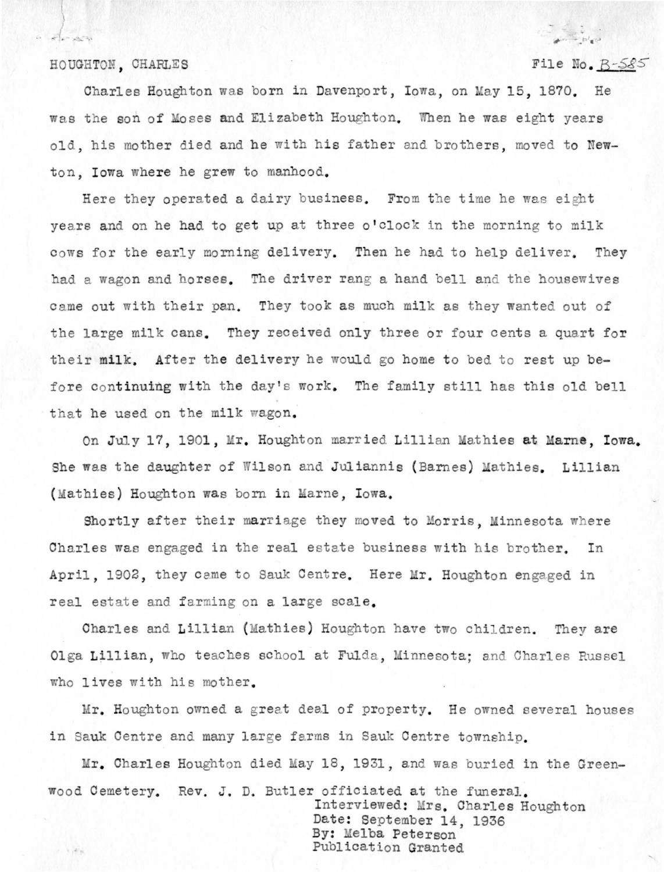#### HOUGHTON, CHARLES

 $\label{eq:R1} \mathcal{R} = \mathcal{R} \mathcal{R}^{-1} \mathcal{R}^{-1} \mathcal{R}$ 

 $1.1.4%$ 

## File No.  $B-585$

Charles Houghton was born in Davenport, Iowa, on May 15, 1870. He was the son of Moses and Elizabeth Houghton. When he was eight years old, his mother died and he with his father and brothers, moved to Newton. Iowa where he grew to manhood.

Here they operated a dairy business. From the time he was eight vears and on he had to get up at three o'clock in the morning to milk cows for the early morning delivery. Then he had to help deliver. They had a wagon and horses. The driver rang a hand bell and the housewives came out with their pan. They took as much milk as they wanted out of the large milk cans. They received only three or four cents a quart for their milk. After the delivery he would go home to bed to rest up before continuing with the day's work. The family still has this old bell that he used on the milk wagon.

On July 17, 1901, Mr. Houghton married Lillian Mathies at Marne, Iowa. She was the daughter of Wilson and Juliannis (Barnes) Mathies. Lillian (Mathies) Houghton was born in Marne, Iowa.

Shortly after their marriage they moved to Morris, Minnesota where Charles was engaged in the real estate business with his brother. In April, 1902, they came to Sauk Centre. Here Mr. Houghton engaged in real estate and farming on a large scale.

Charles and Lillian (Mathies) Houghton have two children. They are Olga Lillian, who teaches school at Fulda, Minnesota; and Charles Russel who lives with his mother.

Mr. Houghton owned a great deal of property. He owned several houses in Sauk Centre and many large farms in Sauk Centre township.

Mr. Charles Houghton died May 18, 1931, and was buried in the Greenwood Cemetery. Rev. J. D. Butler officiated at the funeral.

> Interviewed: Mrs. Charles Houghton Date: September 14, 1936 By: Melba Peterson Publication Granted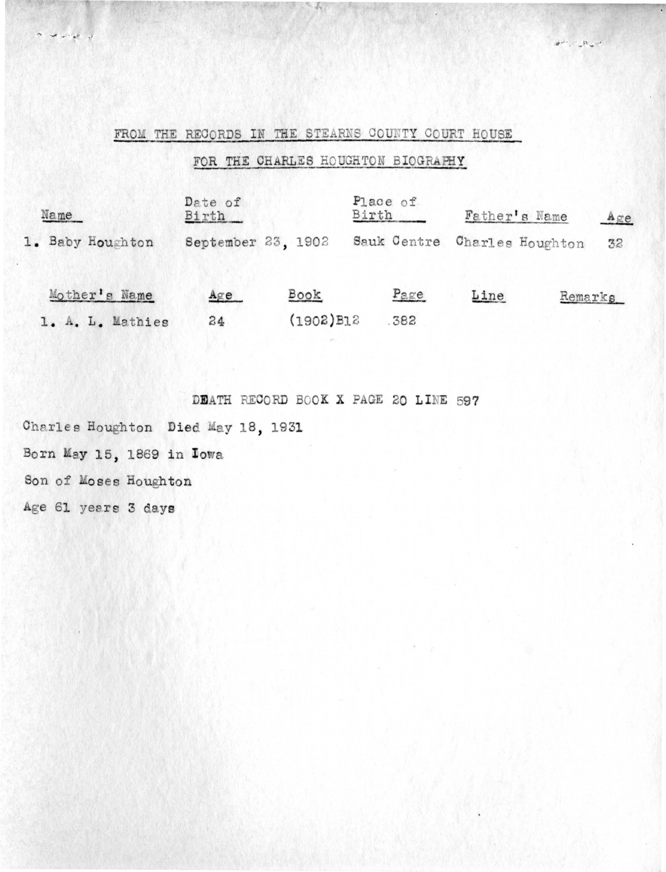### FROM THE RECORDS IN THE STEARNS COUNTY COURT HOUSE

## FOR THE CHARLES HOUGHTON BIOGRAPHY

 $\label{eq:2} \mathcal{A}^{\mu\nu},\cdots,\mathcal{B}_{\mu\nu}^{\phantom{\mu}}\mathcal{A}^{\phantom{\mu}}$ 

| Name             | Date of<br>Birth   |              | Place of<br>Birth |             |      | Father's Name    | Age |
|------------------|--------------------|--------------|-------------------|-------------|------|------------------|-----|
| 1. Baby Houghton | September 23, 1902 |              |                   | Sauk Centre |      | Charles Houghton | 32  |
| Mother's Name    | Agee               | Book         |                   | Page        | Line | Remarks          |     |
| 1. A. L. Mathies | 24                 | $(1902)$ B12 |                   | .382        |      |                  |     |

DEATH RECORD BOOK X PAGE 20 LINE 597

Charles Houghton Died May 18, 1931

Born May 15, 1869 in Iowa

Son of Moses Houghton

Age 61 years 3 days

 $\begin{array}{c} \mathbf{a} & \mathbf{a} & \mathbf{a} & \mathbf{b} \\ \mathbf{a} & \mathbf{a} & \mathbf{b} & \mathbf{a} \end{array}$